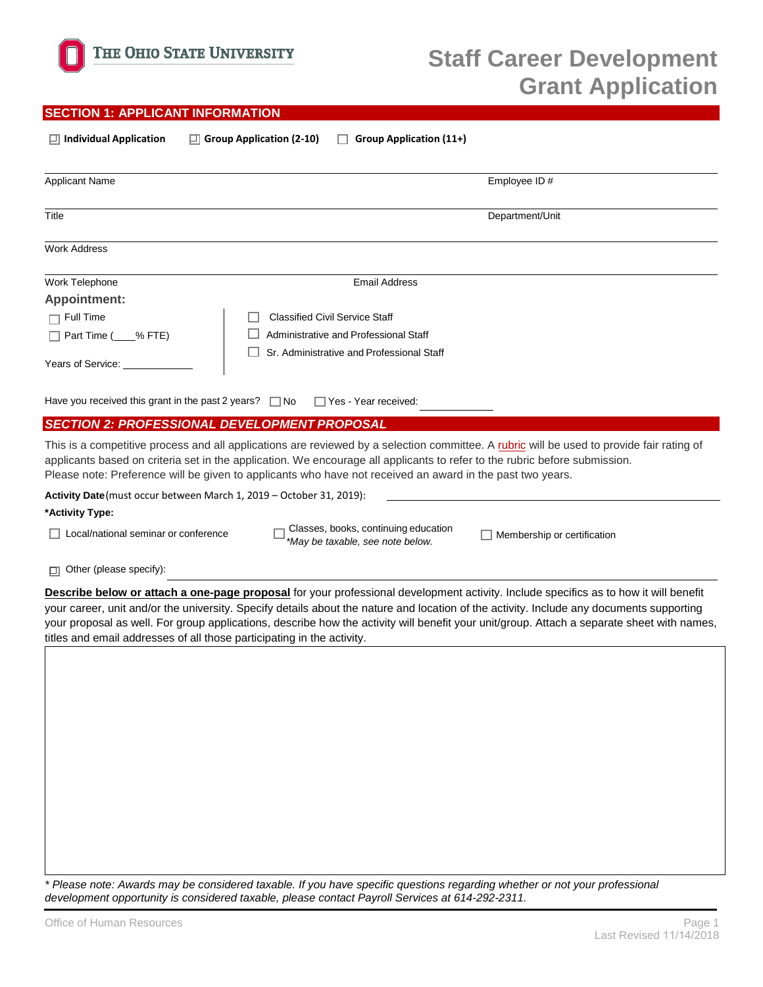

## **SECTION 1: APPLICANT INFORMATION**

| $\Box$ Individual Application                                        | $\Box$ Group Application (2-10)<br>Group Application (11+)<br>. .                                                                                                                                                                                                                                                                                                                    |
|----------------------------------------------------------------------|--------------------------------------------------------------------------------------------------------------------------------------------------------------------------------------------------------------------------------------------------------------------------------------------------------------------------------------------------------------------------------------|
| <b>Applicant Name</b>                                                | Employee ID#                                                                                                                                                                                                                                                                                                                                                                         |
| Title                                                                | Department/Unit                                                                                                                                                                                                                                                                                                                                                                      |
| <b>Work Address</b>                                                  |                                                                                                                                                                                                                                                                                                                                                                                      |
| Work Telephone                                                       | <b>Email Address</b>                                                                                                                                                                                                                                                                                                                                                                 |
| <b>Appointment:</b>                                                  |                                                                                                                                                                                                                                                                                                                                                                                      |
| $\Box$ Full Time                                                     | <b>Classified Civil Service Staff</b>                                                                                                                                                                                                                                                                                                                                                |
| $\Box$ Part Time ( % FTE)                                            | Administrative and Professional Staff                                                                                                                                                                                                                                                                                                                                                |
| Years of Service:                                                    | Sr. Administrative and Professional Staff                                                                                                                                                                                                                                                                                                                                            |
| Have you received this grant in the past 2 years? $\Box$ No          | $\Box$ Yes - Year received:                                                                                                                                                                                                                                                                                                                                                          |
| <b>SECTION 2: PROFESSIONAL DEVELOPMENT PROPOSAL</b>                  |                                                                                                                                                                                                                                                                                                                                                                                      |
|                                                                      | This is a competitive process and all applications are reviewed by a selection committee. A rubric will be used to provide fair rating of<br>applicants based on criteria set in the application. We encourage all applicants to refer to the rubric before submission.<br>Please note: Preference will be given to applicants who have not received an award in the past two years. |
| Activity Date (must occur between March 1, 2019 - October 31, 2019): |                                                                                                                                                                                                                                                                                                                                                                                      |
| *Activity Type:                                                      |                                                                                                                                                                                                                                                                                                                                                                                      |

 $\Box$  Local/national seminar or conference  $\Box$  Classes, books, continuing education  $\Box$ <br>May be taxable, see note below □ *May be taxable, see note below.* Membership or certification  $^*$ May be taxable, see note below.

□ Other (please specify):

**Describe below or attach a one-page proposal** for your professional development activity. Include specifics as to how it will benefit your career, unit and/or the university. Specify details about the nature and location of the activity. Include any documents supporting your proposal as well. For group applications, describe how the activity will benefit your unit/group. Attach a separate sheet with names, titles and email addresses of all those participating in the activity.

*\* Please note: Awards may be considered taxable. If you have specific questions regarding whether or not your professional development opportunity is considered taxable, please contact Payroll Services at 614-292-2311.*